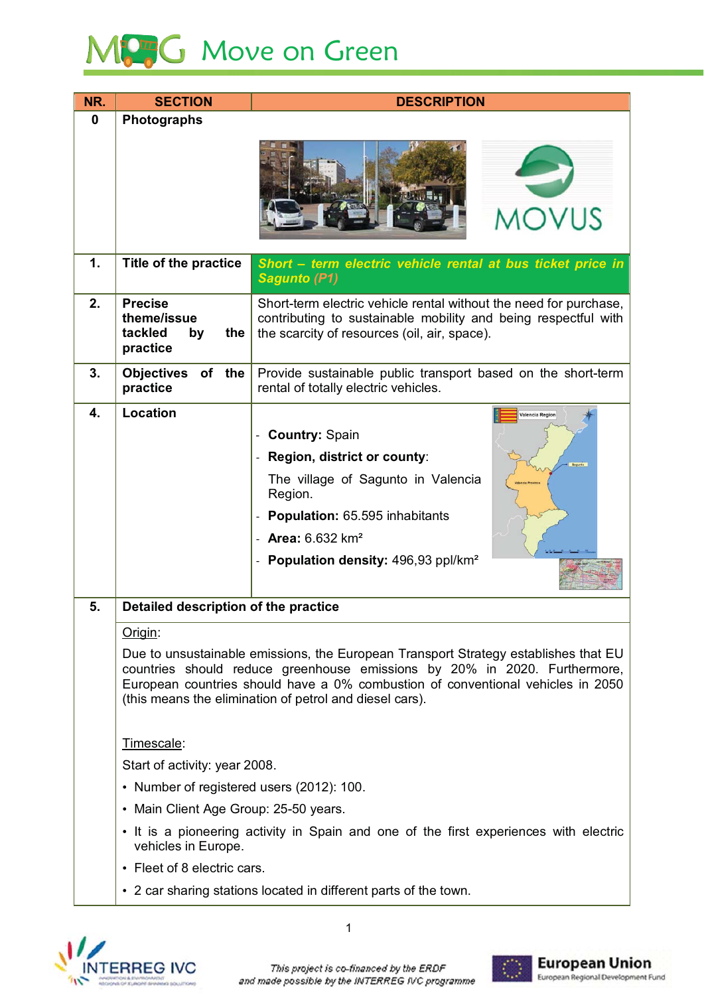# MC<sub>3</sub>G Move on Green

| $\bf{0}$<br>Photographs                                                                                                                                                                                                                                                                                                                                                         |  |  |                                           |  |
|---------------------------------------------------------------------------------------------------------------------------------------------------------------------------------------------------------------------------------------------------------------------------------------------------------------------------------------------------------------------------------|--|--|-------------------------------------------|--|
|                                                                                                                                                                                                                                                                                                                                                                                 |  |  |                                           |  |
| <b>MOVUS</b>                                                                                                                                                                                                                                                                                                                                                                    |  |  |                                           |  |
| 1.<br>Title of the practice<br>Short - term electric vehicle rental at bus ticket price in<br><b>Sagunto (P1)</b>                                                                                                                                                                                                                                                               |  |  |                                           |  |
| 2.<br><b>Precise</b><br>Short-term electric vehicle rental without the need for purchase,<br>theme/issue<br>contributing to sustainable mobility and being respectful with<br>tackled<br>the<br>the scarcity of resources (oil, air, space).<br>by<br>practice                                                                                                                  |  |  |                                           |  |
| 3.<br><b>Objectives</b><br>of the<br>Provide sustainable public transport based on the short-term<br>practice<br>rental of totally electric vehicles.                                                                                                                                                                                                                           |  |  |                                           |  |
| Location<br>4.<br><b>Valencia Region</b><br><b>Country: Spain</b><br>Region, district or county:<br>The village of Sagunto in Valencia<br>Region.<br>Population: 65.595 inhabitants<br><b>Area:</b> $6.632 \text{ km}^2$<br>Population density: 496,93 ppl/km <sup>2</sup>                                                                                                      |  |  |                                           |  |
| Detailed description of the practice<br>Origin:<br>Due to unsustainable emissions, the European Transport Strategy establishes that EU<br>countries should reduce greenhouse emissions by 20% in 2020. Furthermore,<br>European countries should have a 0% combustion of conventional vehicles in 2050<br>(this means the elimination of petrol and diesel cars).<br>Timescale: |  |  |                                           |  |
|                                                                                                                                                                                                                                                                                                                                                                                 |  |  | Start of activity: year 2008.             |  |
|                                                                                                                                                                                                                                                                                                                                                                                 |  |  | • Number of registered users (2012): 100. |  |
| • Main Client Age Group: 25-50 years.                                                                                                                                                                                                                                                                                                                                           |  |  |                                           |  |
| • It is a pioneering activity in Spain and one of the first experiences with electric<br>vehicles in Europe.                                                                                                                                                                                                                                                                    |  |  |                                           |  |
| • Fleet of 8 electric cars.                                                                                                                                                                                                                                                                                                                                                     |  |  |                                           |  |
| • 2 car sharing stations located in different parts of the town.                                                                                                                                                                                                                                                                                                                |  |  |                                           |  |



-

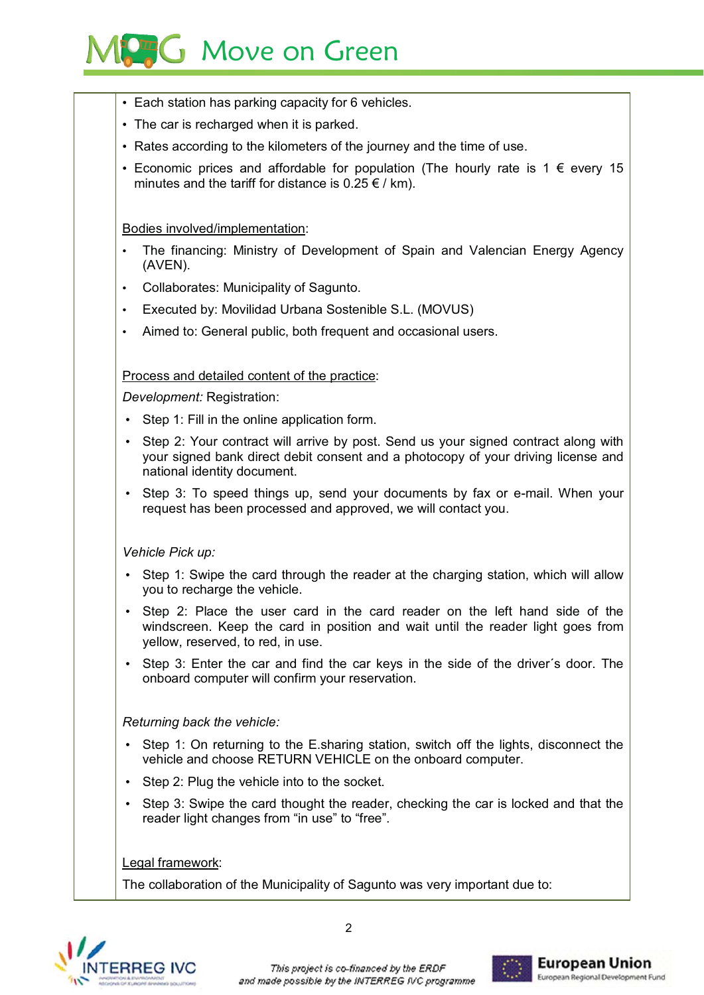# **Move on Green**

- Each station has parking capacity for 6 vehicles.
- The car is recharged when it is parked.
- Rates according to the kilometers of the journey and the time of use.
- Economic prices and affordable for population (The hourly rate is 1  $\epsilon$  every 15 minutes and the tariff for distance is  $0.25 \in /$  km).

#### Bodies involved/implementation:

- The financing: Ministry of Development of Spain and Valencian Energy Agency (AVEN).
- Collaborates: Municipality of Sagunto.
- Executed by: Movilidad Urbana Sostenible S.L. (MOVUS)
- Aimed to: General public, both frequent and occasional users.

#### Process and detailed content of the practice:

Development: Registration:

- Step 1: Fill in the online application form.
- Step 2: Your contract will arrive by post. Send us your signed contract along with vour signed bank direct debit consent and a photocopy of your driving license and national identity document.
- Step 3: To speed things up, send your documents by fax or e-mail. When your request has been processed and approved, we will contact you.

- Step 1: Swipe the card through the reader at the charging station, which will allow vou to recharge the vehicle.
- Step 2: Place the user card in the card reader on the left hand side of the windscreen. Keep the card in position and wait until the reader light goes from vellow, reserved, to red, in use.
- Step 3: Enter the car and find the car keys in the side of the driver's door. The onboard computer will confirm your reservation.

- Step 1: On returning to the E.sharing station, switch off the lights, disconnect the vehicle and choose RETURN VEHICLE on the onboard computer.
- Step 2: Plug the vehicle into to the socket.
- Step 3: Swipe the card thought the reader, checking the car is locked and that the reader light changes from "in use" to "free".

Legal framework:

The collaboration of the Municipality of Sagunto was very important due to:



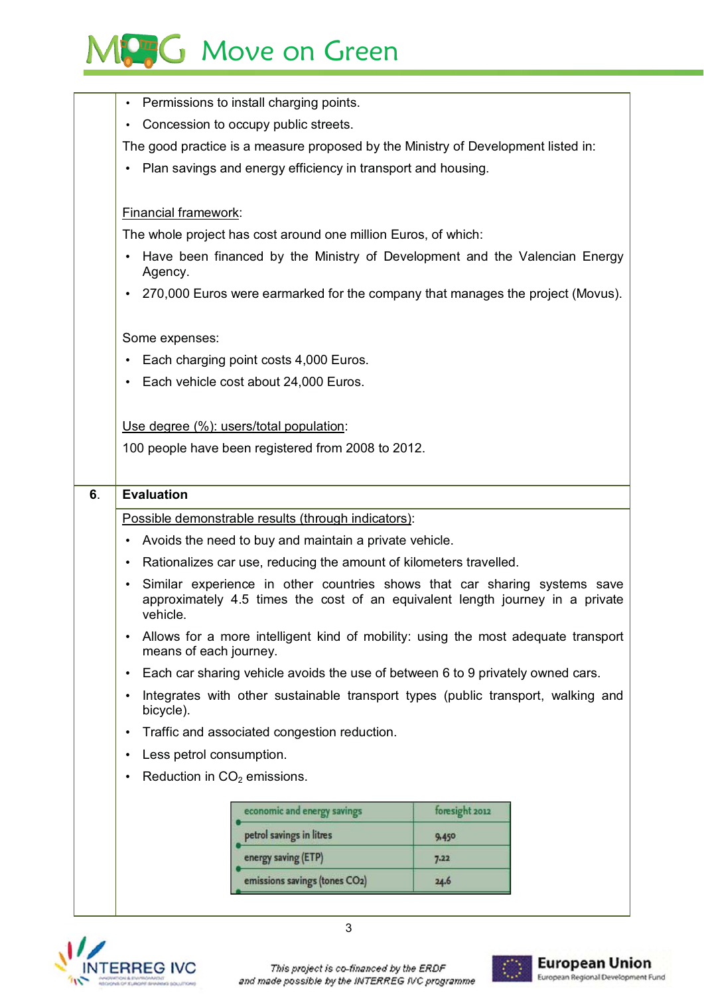## MC<sub>3</sub>G Move on Green

|    | Permissions to install charging points.<br>$\bullet$                                                                                                                                |                |  |  |  |
|----|-------------------------------------------------------------------------------------------------------------------------------------------------------------------------------------|----------------|--|--|--|
|    | Concession to occupy public streets.<br>$\bullet$                                                                                                                                   |                |  |  |  |
|    | The good practice is a measure proposed by the Ministry of Development listed in:                                                                                                   |                |  |  |  |
|    | Plan savings and energy efficiency in transport and housing.                                                                                                                        |                |  |  |  |
|    |                                                                                                                                                                                     |                |  |  |  |
|    | Financial framework:                                                                                                                                                                |                |  |  |  |
|    | The whole project has cost around one million Euros, of which:                                                                                                                      |                |  |  |  |
|    | Have been financed by the Ministry of Development and the Valencian Energy<br>Agency.                                                                                               |                |  |  |  |
|    | 270,000 Euros were earmarked for the company that manages the project (Movus).                                                                                                      |                |  |  |  |
|    | Some expenses:                                                                                                                                                                      |                |  |  |  |
|    | Each charging point costs 4,000 Euros.<br>$\bullet$                                                                                                                                 |                |  |  |  |
|    | Each vehicle cost about 24,000 Euros.<br>$\bullet$                                                                                                                                  |                |  |  |  |
|    |                                                                                                                                                                                     |                |  |  |  |
|    | Use degree (%): users/total population:                                                                                                                                             |                |  |  |  |
|    | 100 people have been registered from 2008 to 2012.                                                                                                                                  |                |  |  |  |
|    |                                                                                                                                                                                     |                |  |  |  |
| 6. | <b>Evaluation</b>                                                                                                                                                                   |                |  |  |  |
|    | Possible demonstrable results (through indicators):                                                                                                                                 |                |  |  |  |
|    | Avoids the need to buy and maintain a private vehicle.<br>$\bullet$                                                                                                                 |                |  |  |  |
|    | Rationalizes car use, reducing the amount of kilometers travelled.<br>$\bullet$                                                                                                     |                |  |  |  |
|    | Similar experience in other countries shows that car sharing systems save<br>$\bullet$<br>approximately 4.5 times the cost of an equivalent length journey in a private<br>vehicle. |                |  |  |  |
|    | Allows for a more intelligent kind of mobility: using the most adequate transport<br>$\bullet$<br>means of each journey.                                                            |                |  |  |  |
|    | Each car sharing vehicle avoids the use of between 6 to 9 privately owned cars.<br>$\bullet$                                                                                        |                |  |  |  |
|    | Integrates with other sustainable transport types (public transport, walking and<br>$\bullet$<br>bicycle).                                                                          |                |  |  |  |
|    |                                                                                                                                                                                     |                |  |  |  |
|    | Traffic and associated congestion reduction.<br>$\bullet$                                                                                                                           |                |  |  |  |
|    | Less petrol consumption.<br>$\bullet$                                                                                                                                               |                |  |  |  |
|    | Reduction in $CO2$ emissions.<br>$\bullet$                                                                                                                                          |                |  |  |  |
|    |                                                                                                                                                                                     |                |  |  |  |
|    | economic and energy savings                                                                                                                                                         | foresight 2012 |  |  |  |
|    | petrol savings in litres                                                                                                                                                            | 9,450          |  |  |  |
|    | energy saving (ETP)                                                                                                                                                                 | 7.22           |  |  |  |
|    | emissions savings (tones CO2)                                                                                                                                                       | 24.6           |  |  |  |
|    |                                                                                                                                                                                     |                |  |  |  |